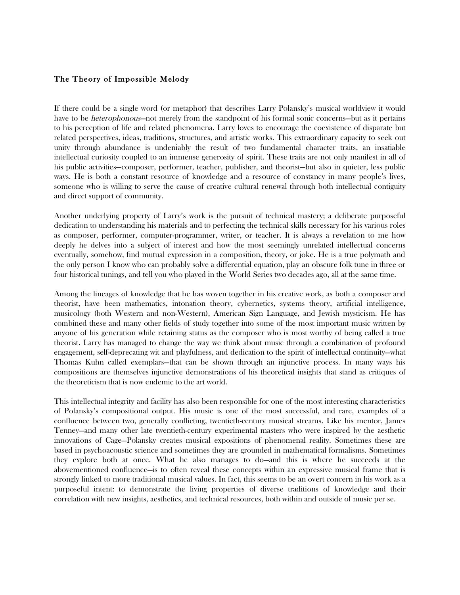## The Theory of Impossible Melody

If there could be a single word (or metaphor) that describes Larry Polansky's musical worldview it would have to be *heterophonous*—not merely from the standpoint of his formal sonic concerns—but as it pertains to his perception of life and related phenomena. Larry loves to encourage the coexistence of disparate but related perspectives, ideas, traditions, structures, and artistic works. This extraordinary capacity to seek out unity through abundance is undeniably the result of two fundamental character traits, an insatiable intellectual curiosity coupled to an immense generosity of spirit. These traits are not only manifest in all of his public activities—composer, performer, teacher, publisher, and theorist—but also in quieter, less public ways. He is both a constant resource of knowledge and a resource of constancy in many people's lives, someone who is willing to serve the cause of creative cultural renewal through both intellectual contiguity and direct support of community.

Another underlying property of Larry's work is the pursuit of technical mastery; a deliberate purposeful dedication to understanding his materials and to perfecting the technical skills necessary for his various roles as composer, performer, computer-programmer, writer, or teacher. It is always a revelation to me how deeply he delves into a subject of interest and how the most seemingly unrelated intellectual concerns eventually, somehow, find mutual expression in a composition, theory, or joke. He is a true polymath and the only person I know who can probably solve a differential equation, play an obscure folk tune in three or four historical tunings, and tell you who played in the World Series two decades ago, all at the same time.

Among the lineages of knowledge that he has woven together in his creative work, as both a composer and theorist, have been mathematics, intonation theory, cybernetics, systems theory, artificial intelligence, musicology (both Western and non-Western), American Sign Language, and Jewish mysticism. He has combined these and many other fields of study together into some of the most important music written by anyone of his generation while retaining status as the composer who is most worthy of being called a true theorist. Larry has managed to change the way we think about music through a combination of profound engagement, self-deprecating wit and playfulness, and dedication to the spirit of intellectual continuity—what Thomas Kuhn called exemplars—that can be shown through an injunctive process. In many ways his compositions are themselves injunctive demonstrations of his theoretical insights that stand as critiques of the theoreticism that is now endemic to the art world.

This intellectual integrity and facility has also been responsible for one of the most interesting characteristics of Polansky's compositional output. His music is one of the most successful, and rare, examples of a confluence between two, generally conflicting, twentieth-century musical streams. Like his mentor, James Tenney—and many other late twentieth-century experimental masters who were inspired by the aesthetic innovations of Cage—Polansky creates musical expositions of phenomenal reality. Sometimes these are based in psychoacoustic science and sometimes they are grounded in mathematical formalisms. Sometimes they explore both at once. What he also manages to do—and this is where he succeeds at the abovementioned confluence—is to often reveal these concepts within an expressive musical frame that is strongly linked to more traditional musical values. In fact, this seems to be an overt concern in his work as a purposeful intent: to demonstrate the living properties of diverse traditions of knowledge and their correlation with new insights, aesthetics, and technical resources, both within and outside of music per se.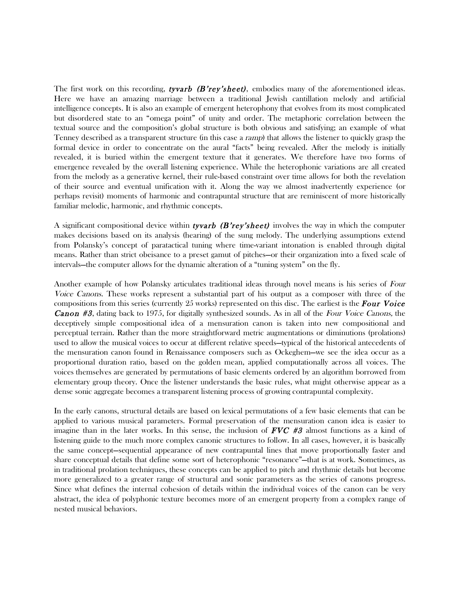The first work on this recording, tyvarb (B'rey'sheet), embodies many of the aforementioned ideas. Here we have an amazing marriage between a traditional Jewish cantillation melody and artificial intelligence concepts. It is also an example of emergent heterophony that evolves from its most complicated but disordered state to an "omega point" of unity and order. The metaphoric correlation between the textual source and the composition's global structure is both obvious and satisfying; an example of what Tenney described as a transparent structure (in this case a ramp) that allows the listener to quickly grasp the formal device in order to concentrate on the aural "facts" being revealed. After the melody is initially revealed, it is buried within the emergent texture that it generates. We therefore have two forms of emergence revealed by the overall listening experience. While the heterophonic variations are all created from the melody as a generative kernel, their rule-based constraint over time allows for both the revelation of their source and eventual unification with it. Along the way we almost inadvertently experience (or perhaps revisit) moments of harmonic and contrapuntal structure that are reminiscent of more historically familiar melodic, harmonic, and rhythmic concepts.

A significant compositional device within **tyvarb** (**B'rey'sheet**) involves the way in which the computer makes decisions based on its analysis (hearing) of the sung melody. The underlying assumptions extend from Polansky's concept of paratactical tuning where time-variant intonation is enabled through digital means. Rather than strict obeisance to a preset gamut of pitches—or their organization into a fixed scale of intervals—the computer allows for the dynamic alteration of a "tuning system" on the fly.

Another example of how Polansky articulates traditional ideas through novel means is his series of Four Voice Canons. These works represent a substantial part of his output as a composer with three of the compositions from this series (currently 25 works) represented on this disc. The earliest is the **Four Voice** Canon #3, dating back to 1975, for digitally synthesized sounds. As in all of the Four Voice Canons, the deceptively simple compositional idea of a mensuration canon is taken into new compositional and perceptual terrain. Rather than the more straightforward metric augmentations or diminutions (prolations) used to allow the musical voices to occur at different relative speeds—typical of the historical antecedents of the mensuration canon found in Renaissance composers such as Ockeghem—we see the idea occur as a proportional duration ratio, based on the golden mean, applied computationally across all voices. The voices themselves are generated by permutations of basic elements ordered by an algorithm borrowed from elementary group theory. Once the listener understands the basic rules, what might otherwise appear as a dense sonic aggregate becomes a transparent listening process of growing contrapuntal complexity.

In the early canons, structural details are based on lexical permutations of a few basic elements that can be applied to various musical parameters. Formal preservation of the mensuration canon idea is easier to imagine than in the later works. In this sense, the inclusion of  $FVC$  #3 almost functions as a kind of listening guide to the much more complex canonic structures to follow. In all cases, however, it is basically the same concept—sequential appearance of new contrapuntal lines that move proportionally faster and share conceptual details that define some sort of heterophonic "resonance"—that is at work. Sometimes, as in traditional prolation techniques, these concepts can be applied to pitch and rhythmic details but become more generalized to a greater range of structural and sonic parameters as the series of canons progress. Since what defines the internal cohesion of details within the individual voices of the canon can be very abstract, the idea of polyphonic texture becomes more of an emergent property from a complex range of nested musical behaviors.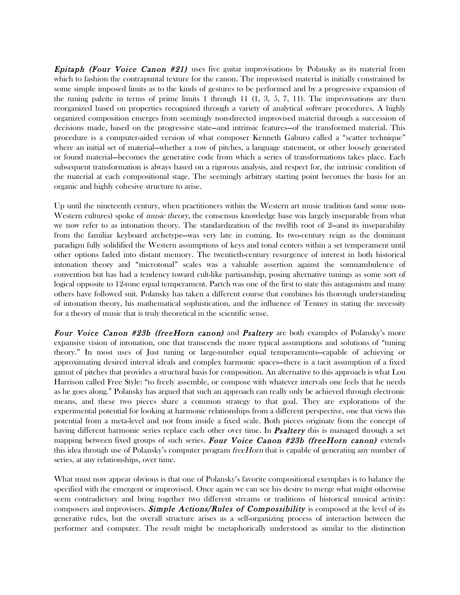**Epitaph (Four Voice Canon #21)** uses five guitar improvisations by Polansky as its material from which to fashion the contrapuntal texture for the canon. The improvised material is initially constrained by some simple imposed limits as to the kinds of gestures to be performed and by a progressive expansion of the tuning palette in terms of prime limits 1 through 11  $(1, 3, 5, 7, 11)$ . The improvisations are then reorganized based on properties recognized through a variety of analytical software procedures. A highly organized composition emerges from seemingly non-directed improvised material through a succession of decisions made, based on the progressive state—and intrinsic features—of the transformed material. This procedure is a computer-aided version of what composer Kenneth Gaburo called a "scatter technique" where an initial set of material—whether a row of pitches, a language statement, or other loosely generated or found material—becomes the generative code from which a series of transformations takes place. Each subsequent transformation is always based on a rigorous analysis, and respect for, the intrinsic condition of the material at each compositional stage. The seemingly arbitrary starting point becomes the basis for an organic and highly cohesive structure to arise.

Up until the nineteenth century, when practitioners within the Western art music tradition (and some non-Western cultures) spoke of music theory, the consensus knowledge base was largely inseparable from what we now refer to as intonation theory. The standardization of the twelfth root of 2—and its inseparability from the familiar keyboard archetype—was very late in coming. Its two-century reign as the dominant paradigm fully solidified the Western assumptions of keys and tonal centers within a set temperament until other options faded into distant memory. The twentieth-century resurgence of interest in both historical intonation theory and "microtonal" scales was a valuable assertion against the somnambulence of convention but has had a tendency toward cult-like partisanship, posing alternative tunings as some sort of logical opposite to 12-tone equal temperament. Partch was one of the first to state this antagonism and many others have followed suit. Polansky has taken a different course that combines his thorough understanding of intonation theory, his mathematical sophistication, and the influence of Tenney in stating the necessity for a theory of music that is truly theoretical in the scientific sense.

Four Voice Canon #23b (freeHorn canon) and Psaltery are both examples of Polansky's more expansive vision of intonation, one that transcends the more typical assumptions and solutions of "tuning theory." In most uses of Just tuning or large-number equal temperaments—capable of achieving or approximating desired interval ideals and complex harmonic spaces—there is a tacit assumption of a fixed gamut of pitches that provides a structural basis for composition. An alternative to this approach is what Lou Harrison called Free Style: "to freely assemble, or compose with whatever intervals one feels that he needs as he goes along." Polansky has argued that such an approach can really only be achieved through electronic means, and these two pieces share a common strategy to that goal. They are explorations of the experimental potential for looking at harmonic relationships from a different perspective, one that views this potential from a meta-level and not from inside a fixed scale. Both pieces originate from the concept of having different harmonic series replace each other over time. In **Psaltery** this is managed through a set mapping between fixed groups of such series. Four Voice Canon #23b (freeHorn canon) extends this idea through use of Polansky's computer program *freeHorn* that is capable of generating any number of series, at any relationships, over time.

What must now appear obvious is that one of Polansky's favorite compositional exemplars is to balance the specified with the emergent or improvised. Once again we can see his desire to merge what might otherwise seem contradictory and bring together two different streams or traditions of historical musical activity: composers and improvisers. **Simple Actions/Rules of Compossibility** is composed at the level of its generative rules, but the overall structure arises as a self-organizing process of interaction between the performer and computer. The result might be metaphorically understood as similar to the distinction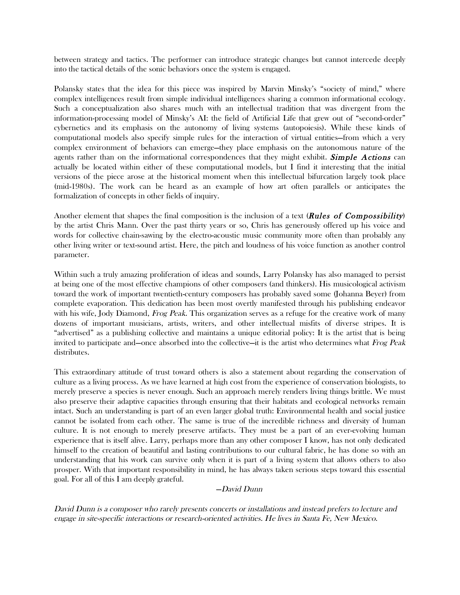between strategy and tactics. The performer can introduce strategic changes but cannot intercede deeply into the tactical details of the sonic behaviors once the system is engaged.

Polansky states that the idea for this piece was inspired by Marvin Minsky's "society of mind," where complex intelligences result from simple individual intelligences sharing a common informational ecology. Such a conceptualization also shares much with an intellectual tradition that was divergent from the information-processing model of Minsky's AI: the field of Artificial Life that grew out of "second-order" cybernetics and its emphasis on the autonomy of living systems (autopoiesis). While these kinds of computational models also specify simple rules for the interaction of virtual entities—from which a very complex environment of behaviors can emerge—they place emphasis on the autonomous nature of the agents rather than on the informational correspondences that they might exhibit. **Simple Actions** can actually be located within either of these computational models, but I find it interesting that the initial versions of the piece arose at the historical moment when this intellectual bifurcation largely took place (mid-1980s). The work can be heard as an example of how art often parallels or anticipates the formalization of concepts in other fields of inquiry.

Another element that shapes the final composition is the inclusion of a text (**Rules of Compossibility**) by the artist Chris Mann. Over the past thirty years or so, Chris has generously offered up his voice and words for collective chain-sawing by the electro-acoustic music community more often than probably any other living writer or text-sound artist. Here, the pitch and loudness of his voice function as another control parameter.

Within such a truly amazing proliferation of ideas and sounds, Larry Polansky has also managed to persist at being one of the most effective champions of other composers (and thinkers). His musicological activism toward the work of important twentieth-century composers has probably saved some (Johanna Beyer) from complete evaporation. This dedication has been most overtly manifested through his publishing endeavor with his wife, Jody Diamond, *Frog Peak*. This organization serves as a refuge for the creative work of many dozens of important musicians, artists, writers, and other intellectual misfits of diverse stripes. It is "advertised" as a publishing collective and maintains a unique editorial policy: It is the artist that is being invited to participate and—once absorbed into the collective—it is the artist who determines what Frog Peak distributes.

This extraordinary attitude of trust toward others is also a statement about regarding the conservation of culture as a living process. As we have learned at high cost from the experience of conservation biologists, to merely preserve a species is never enough. Such an approach merely renders living things brittle. We must also preserve their adaptive capacities through ensuring that their habitats and ecological networks remain intact. Such an understanding is part of an even larger global truth: Environmental health and social justice cannot be isolated from each other. The same is true of the incredible richness and diversity of human culture. It is not enough to merely preserve artifacts. They must be a part of an ever-evolving human experience that is itself alive. Larry, perhaps more than any other composer I know, has not only dedicated himself to the creation of beautiful and lasting contributions to our cultural fabric, he has done so with an understanding that his work can survive only when it is part of a living system that allows others to also prosper. With that important responsibility in mind, he has always taken serious steps toward this essential goal. For all of this I am deeply grateful.

#### —David Dunn

David Dunn is a composer who rarely presents concerts or installations and instead prefers to lecture and engage in site-specific interactions or research-oriented activities. He lives in Santa Fe, New Mexico.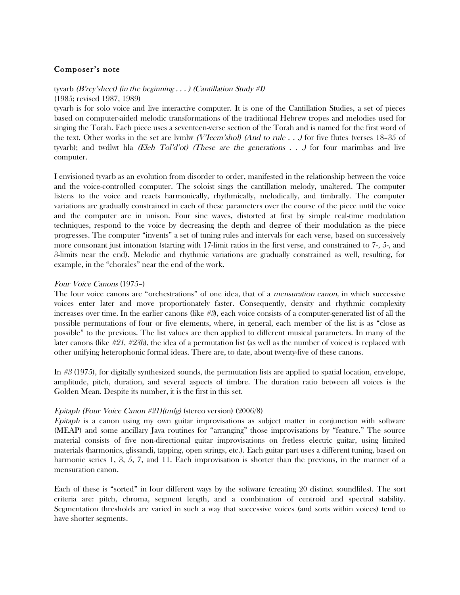# Composer's note

tyvarb (B'rey'sheet) (in the beginning  $\ldots$ ) (Cantillation Study #I) (1985; revised 1987, 1989)

tyvarb is for solo voice and live interactive computer. It is one of the Cantillation Studies, a set of pieces based on computer-aided melodic transformations of the traditional Hebrew tropes and melodies used for singing the Torah. Each piece uses a seventeen-verse section of the Torah and is named for the first word of the text. Other works in the set are lymlw *(V'Ieem'shol) (And to rule . . .)* for five flutes (verses 18–35 of tyvarb); and twdlwt hla (Eleh Tol'd'ot) (These are the generations  $\ldots$ ) for four marimbas and live computer.

I envisioned tyvarb as an evolution from disorder to order, manifested in the relationship between the voice and the voice-controlled computer. The soloist sings the cantillation melody, unaltered. The computer listens to the voice and reacts harmonically, rhythmically, melodically, and timbrally. The computer variations are gradually constrained in each of these parameters over the course of the piece until the voice and the computer are in unison. Four sine waves, distorted at first by simple real-time modulation techniques, respond to the voice by decreasing the depth and degree of their modulation as the piece progresses. The computer "invents" a set of tuning rules and intervals for each verse, based on successively more consonant just intonation (starting with 17-limit ratios in the first verse, and constrained to 7-, 5-, and 3-limits near the end). Melodic and rhythmic variations are gradually constrained as well, resulting, for example, in the "chorales" near the end of the work.

### Four Voice Canons (1975–)

The four voice canons are "orchestrations" of one idea, that of a mensuration canon, in which successive voices enter later and move proportionately faster. Consequently, density and rhythmic complexity increases over time. In the earlier canons (like  $\#\mathfrak{B}$ , each voice consists of a computer-generated list of all the possible permutations of four or five elements, where, in general, each member of the list is as "close as possible" to the previous. The list values are then applied to different musical parameters. In many of the later canons (like #21, #23b), the idea of a permutation list (as well as the number of voices) is replaced with other unifying heterophonic formal ideas. There are, to date, about twenty-five of these canons.

In #3 (1975), for digitally synthesized sounds, the permutation lists are applied to spatial location, envelope, amplitude, pitch, duration, and several aspects of timbre. The duration ratio between all voices is the Golden Mean. Despite its number, it is the first in this set.

# Epitaph (Four Voice Canon #21)(tmfg) (stereo version) (2006/8)

Epitaph is a canon using my own guitar improvisations as subject matter in conjunction with software (MEAP) and some ancillary Java routines for "arranging" those improvisations by "feature." The source material consists of five non-directional guitar improvisations on fretless electric guitar, using limited materials (harmonics, glissandi, tapping, open strings, etc.). Each guitar part uses a different tuning, based on harmonic series 1, 3, 5, 7, and 11. Each improvisation is shorter than the previous, in the manner of a mensuration canon.

Each of these is "sorted" in four different ways by the software (creating 20 distinct soundfiles). The sort criteria are: pitch, chroma, segment length, and a combination of centroid and spectral stability. Segmentation thresholds are varied in such a way that successive voices (and sorts within voices) tend to have shorter segments.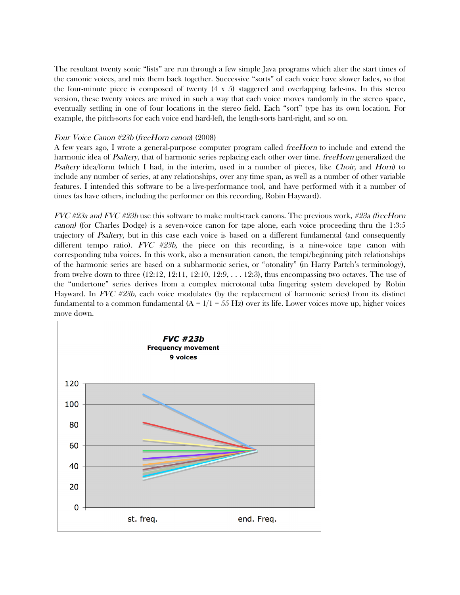The resultant twenty sonic "lists" are run through a few simple Java programs which alter the start times of the canonic voices, and mix them back together. Successive "sorts" of each voice have slower fades, so that the four-minute piece is composed of twenty  $(4 \times 5)$  staggered and overlapping fade-ins. In this stereo version, these twenty voices are mixed in such a way that each voice moves randomly in the stereo space, eventually settling in one of four locations in the stereo field. Each "sort" type has its own location. For example, the pitch-sorts for each voice end hard-left, the length-sorts hard-right, and so on.

### Four Voice Canon #23b (freeHorn canon) (2008)

A few years ago, I wrote a general-purpose computer program called freeHorn to include and extend the harmonic idea of Psaltery, that of harmonic series replacing each other over time. freeHorn generalized the Psaltery idea/form (which I had, in the interim, used in a number of pieces, like Choir, and Horn) to include any number of series, at any relationships, over any time span, as well as a number of other variable features. I intended this software to be a live-performance tool, and have performed with it a number of times (as have others, including the performer on this recording, Robin Hayward).

FVC #23a and FVC #23b use this software to make multi-track canons. The previous work, #23a (freeHorn canon) (for Charles Dodge) is a seven-voice canon for tape alone, each voice proceeding thru the 1:3:5 trajectory of Psaltery, but in this case each voice is based on a different fundamental (and consequently different tempo ratio).  $FVC$  #23b, the piece on this recording, is a nine-voice tape canon with corresponding tuba voices. In this work, also a mensuration canon, the tempi/beginning pitch relationships of the harmonic series are based on a subharmonic series, or "otonality" (in Harry Partch's terminology), from twelve down to three  $(12:12, 12:11, 12:10, 12:9, \ldots, 12:3)$ , thus encompassing two octaves. The use of the "undertone" series derives from a complex microtonal tuba fingering system developed by Robin Hayward. In FVC #23b, each voice modulates (by the replacement of harmonic series) from its distinct fundamental to a common fundamental  $(A = 1/1 = 55 Hz)$  over its life. Lower voices move up, higher voices move down.

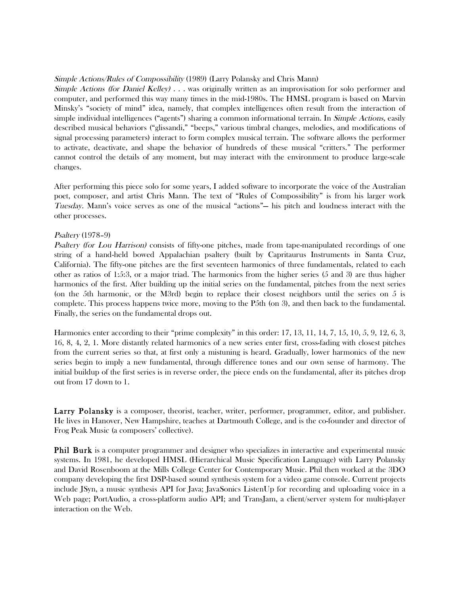### Simple Actions/Rules of Compossibility (1989) (Larry Polansky and Chris Mann)

Simple Actions (for Daniel Kelley) . . . was originally written as an improvisation for solo performer and computer, and performed this way many times in the mid-1980s. The HMSL program is based on Marvin Minsky's "society of mind" idea, namely, that complex intelligences often result from the interaction of simple individual intelligences ("agents") sharing a common informational terrain. In *Simple Actions*, easily described musical behaviors ("glissandi," "beeps," various timbral changes, melodies, and modifications of signal processing parameters) interact to form complex musical terrain. The software allows the performer to activate, deactivate, and shape the behavior of hundreds of these musical "critters." The performer cannot control the details of any moment, but may interact with the environment to produce large-scale changes.

After performing this piece solo for some years, I added software to incorporate the voice of the Australian poet, composer, and artist Chris Mann. The text of "Rules of Compossibility" is from his larger work Tuesday. Mann's voice serves as one of the musical "actions"— his pitch and loudness interact with the other processes.

### Psaltery (1978–9)

Psaltery (for Lou Harrison) consists of fifty-one pitches, made from tape-manipulated recordings of one string of a hand-held bowed Appalachian psaltery (built by Capritaurus Instruments in Santa Cruz, California). The fifty-one pitches are the first seventeen harmonics of three fundamentals, related to each other as ratios of 1:5:3, or a major triad. The harmonics from the higher series (5 and 3) are thus higher harmonics of the first. After building up the initial series on the fundamental, pitches from the next series (on the 5th harmonic, or the M3rd) begin to replace their closest neighbors until the series on 5 is complete. This process happens twice more, moving to the P5th (on 3), and then back to the fundamental. Finally, the series on the fundamental drops out.

Harmonics enter according to their "prime complexity" in this order: 17, 13, 11, 14, 7, 15, 10, 5, 9, 12, 6, 3, 16, 8, 4, 2, 1. More distantly related harmonics of a new series enter first, cross-fading with closest pitches from the current series so that, at first only a mistuning is heard. Gradually, lower harmonics of the new series begin to imply a new fundamental, through difference tones and our own sense of harmony. The initial buildup of the first series is in reverse order, the piece ends on the fundamental, after its pitches drop out from 17 down to 1.

Larry Polansky is a composer, theorist, teacher, writer, performer, programmer, editor, and publisher. He lives in Hanover, New Hampshire, teaches at Dartmouth College, and is the co-founder and director of Frog Peak Music (a composers' collective).

**Phil Burk** is a computer programmer and designer who specializes in interactive and experimental music systems. In 1981, he developed HMSL (Hierarchical Music Specification Language) with Larry Polansky and David Rosenboom at the Mills College Center for Contemporary Music. Phil then worked at the 3DO company developing the first DSP-based sound synthesis system for a video game console. Current projects include JSyn, a music synthesis API for Java; JavaSonics ListenUp for recording and uploading voice in a Web page; PortAudio, a cross-platform audio API; and TransJam, a client/server system for multi-player interaction on the Web.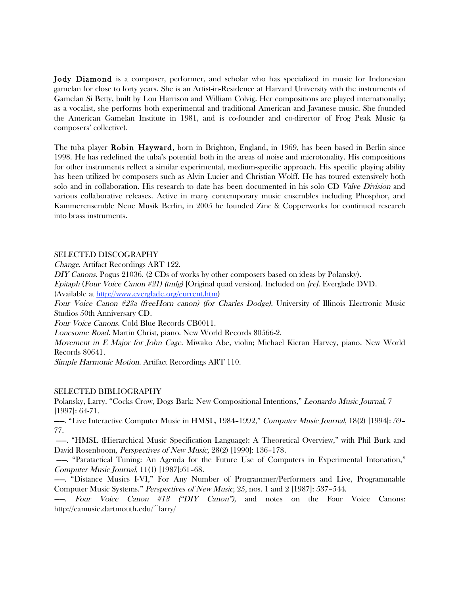Jody Diamond is a composer, performer, and scholar who has specialized in music for Indonesian gamelan for close to forty years. She is an Artist-in-Residence at Harvard University with the instruments of Gamelan Si Betty, built by Lou Harrison and William Colvig. Her compositions are played internationally; as a vocalist, she performs both experimental and traditional American and Javanese music. She founded the American Gamelan Institute in 1981, and is co-founder and co-director of Frog Peak Music (a composers' collective).

The tuba player Robin Hayward, born in Brighton, England, in 1969, has been based in Berlin since 1998. He has redefined the tuba's potential both in the areas of noise and microtonality. His compositions for other instruments reflect a similar experimental, medium-specific approach. His specific playing ability has been utilized by composers such as Alvin Lucier and Christian Wolff. He has toured extensively both solo and in collaboration. His research to date has been documented in his solo CD Valve Division and various collaborative releases. Active in many contemporary music ensembles including Phosphor, and Kammerensemble Neue Musik Berlin, in 2005 he founded Zinc & Copperworks for continued research into brass instruments.

#### SELECTED DISCOGRAPHY

Change. Artifact Recordings ART 122.

DIY Canons. Pogus 21036. (2 CDs of works by other composers based on ideas by Polansky).

Epitaph (Four Voice Canon #21) (tmfg) [Original quad version]. Included on [re]. Everglade DVD.

(Available at http://www.everglade.org/current.htm)

Four Voice Canon #23a (freeHorn canon) (for Charles Dodge). University of Illinois Electronic Music Studios 50th Anniversary CD.

Four Voice Canons. Cold Blue Records CB0011.

Lonesome Road. Martin Christ, piano. New World Records 80566-2.

Movement in E Major for John Cage. Miwako Abe, violin; Michael Kieran Harvey, piano. New World Records 80641.

Simple Harmonic Motion. Artifact Recordings ART 110.

#### SELECTED BIBLIOGRAPHY

Polansky, Larry. "Cocks Crow, Dogs Bark: New Compositional Intentions," Leonardo Music Journal, 7 [1997]: 64-71.

——. "Live Interactive Computer Music in HMSL, 1984–1992," Computer Music Journal, 18(2) [1994]: 59– 77.

——. "HMSL (Hierarchical Music Specification Language): A Theoretical Overview," with Phil Burk and David Rosenboom, Perspectives of New Music, 28(2) [1990]: 136–178.

——. "Paratactical Tuning: An Agenda for the Future Use of Computers in Experimental Intonation," Computer Music Journal, 11(1) [1987]:61–68.

——. "Distance Musics I-VI," For Any Number of Programmer/Performers and Live, Programmable Computer Music Systems." Perspectives of New Music, 25, nos. 1 and 2 [1987]: 537–544.

——. Four Voice Canon #13 ("DIY Canon"), and notes on the Four Voice Canons: http://eamusic.dartmouth.edu/~larry/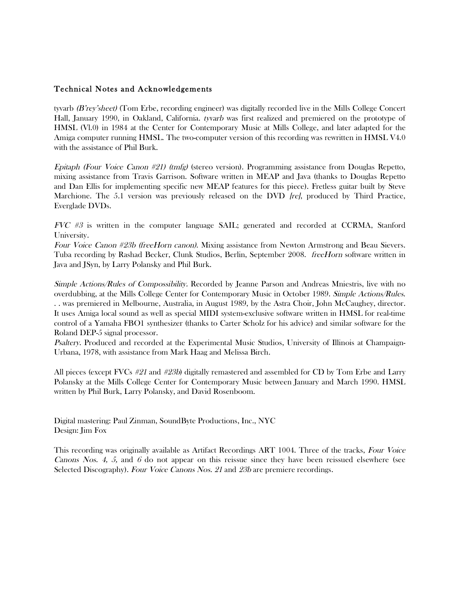# Technical Notes and Acknowledgements

tyvarb (B'rey'sheet) (Tom Erbe, recording engineer) was digitally recorded live in the Mills College Concert Hall, January 1990, in Oakland, California. tyvarb was first realized and premiered on the prototype of HMSL (Vl.0) in 1984 at the Center for Contemporary Music at Mills College, and later adapted for the Amiga computer running HMSL. The two-computer version of this recording was rewritten in HMSL V4.0 with the assistance of Phil Burk.

Epitaph (Four Voice Canon #21) (tmfg) (stereo version). Programming assistance from Douglas Repetto, mixing assistance from Travis Garrison. Software written in MEAP and Java (thanks to Douglas Repetto and Dan Ellis for implementing specific new MEAP features for this piece). Fretless guitar built by Steve Marchione. The 5.1 version was previously released on the DVD *[re]*, produced by Third Practice, Everglade DVDs.

 $FVC$  #3 is written in the computer language SAIL; generated and recorded at CCRMA, Stanford University.

Four Voice Canon #23b (freeHorn canon). Mixing assistance from Newton Armstrong and Beau Sievers. Tuba recording by Rashad Becker, Clunk Studios, Berlin, September 2008. freeHorn software written in Java and JSyn, by Larry Polansky and Phil Burk.

Simple Actions/Rules of Compossibility. Recorded by Jeanne Parson and Andreas Mniestris, live with no overdubbing, at the Mills College Center for Contemporary Music in October 1989. Simple Actions/Rules. . . was premiered in Melbourne, Australia, in August 1989, by the Astra Choir, John McCaughey, director. It uses Amiga local sound as well as special MIDI system-exclusive software written in HMSL for real-time control of a Yamaha FBO1 synthesizer (thanks to Carter Scholz for his advice) and similar software for the Roland DEP-5 signal processor.

Psaltery. Produced and recorded at the Experimental Music Studios, University of Illinois at Champaign-Urbana, 1978, with assistance from Mark Haag and Melissa Birch.

All pieces (except FVCs #21 and #23b) digitally remastered and assembled for CD by Tom Erbe and Larry Polansky at the Mills College Center for Contemporary Music between January and March 1990. HMSL written by Phil Burk, Larry Polansky, and David Rosenboom.

Digital mastering: Paul Zinman, SoundByte Productions, Inc., NYC Design: Jim Fox

This recording was originally available as Artifact Recordings ART 1004. Three of the tracks, Four Voice Canons Nos. 4, 5, and 6 do not appear on this reissue since they have been reissued elsewhere (see Selected Discography). Four Voice Canons Nos. 21 and 23b are premiere recordings.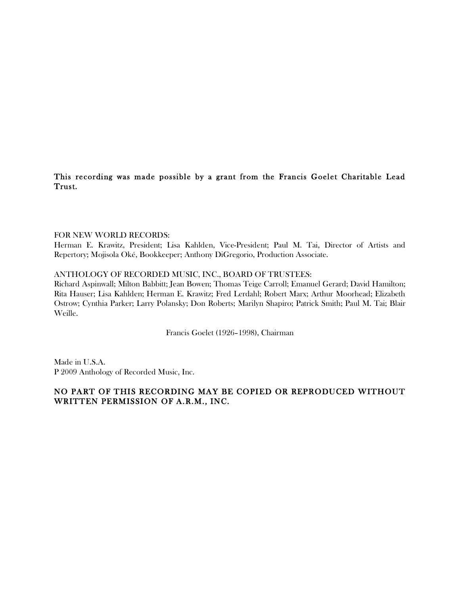This recording was made possible by a grant from the Francis Goelet Charitable Lead Trust.

### FOR NEW WORLD RECORDS:

Herman E. Krawitz, President; Lisa Kahlden, Vice-President; Paul M. Tai, Director of Artists and Repertory; Mojisola Oké, Bookkeeper; Anthony DiGregorio, Production Associate.

### ANTHOLOGY OF RECORDED MUSIC, INC., BOARD OF TRUSTEES:

Richard Aspinwall; Milton Babbitt; Jean Bowen; Thomas Teige Carroll; Emanuel Gerard; David Hamilton; Rita Hauser; Lisa Kahlden; Herman E. Krawitz; Fred Lerdahl; Robert Marx; Arthur Moorhead; Elizabeth Ostrow; Cynthia Parker; Larry Polansky; Don Roberts; Marilyn Shapiro; Patrick Smith; Paul M. Tai; Blair Weille.

Francis Goelet (1926–1998), Chairman

Made in U.S.A. P 2009 Anthology of Recorded Music, Inc.

# NO PART OF THIS RECORDING MAY BE COPIED OR REPRODUCED WITHOUT WRITTEN PERMISSION OF A.R.M., INC.